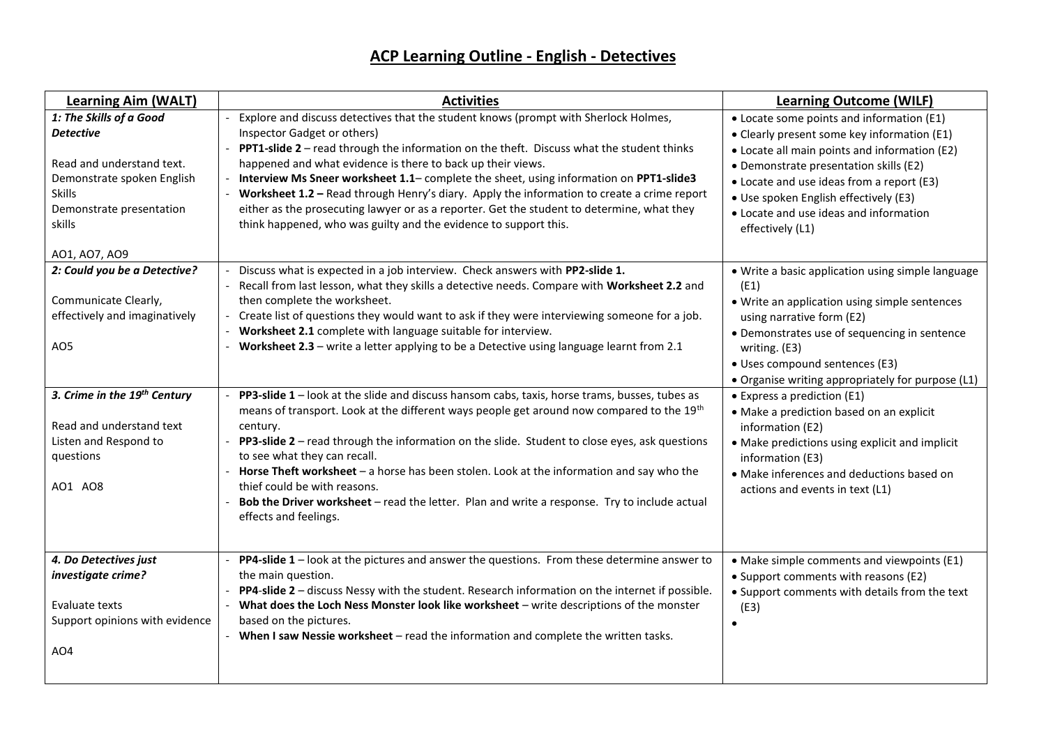## **ACP Learning Outline - English - Detectives**

| <b>Learning Aim (WALT)</b>                                                                                                                                                     | <b>Activities</b>                                                                                                                                                                                                                                                                                                                                                                                                                                                                                                                                                                                                                        | <b>Learning Outcome (WILF)</b>                                                                                                                                                                                                                                                                                                          |
|--------------------------------------------------------------------------------------------------------------------------------------------------------------------------------|------------------------------------------------------------------------------------------------------------------------------------------------------------------------------------------------------------------------------------------------------------------------------------------------------------------------------------------------------------------------------------------------------------------------------------------------------------------------------------------------------------------------------------------------------------------------------------------------------------------------------------------|-----------------------------------------------------------------------------------------------------------------------------------------------------------------------------------------------------------------------------------------------------------------------------------------------------------------------------------------|
| 1: The Skills of a Good<br><b>Detective</b><br>Read and understand text.<br>Demonstrate spoken English<br><b>Skills</b><br>Demonstrate presentation<br>skills<br>AO1, AO7, AO9 | Explore and discuss detectives that the student knows (prompt with Sherlock Holmes,<br>Inspector Gadget or others)<br>PPT1-slide 2 - read through the information on the theft. Discuss what the student thinks<br>happened and what evidence is there to back up their views.<br>Interview Ms Sneer worksheet 1.1- complete the sheet, using information on PPT1-slide3<br>Worksheet 1.2 - Read through Henry's diary. Apply the information to create a crime report<br>either as the prosecuting lawyer or as a reporter. Get the student to determine, what they<br>think happened, who was guilty and the evidence to support this. | • Locate some points and information (E1)<br>• Clearly present some key information (E1)<br>• Locate all main points and information (E2)<br>• Demonstrate presentation skills (E2)<br>• Locate and use ideas from a report (E3)<br>• Use spoken English effectively (E3)<br>• Locate and use ideas and information<br>effectively (L1) |
| 2: Could you be a Detective?<br>Communicate Clearly,<br>effectively and imaginatively<br>AO <sub>5</sub>                                                                       | Discuss what is expected in a job interview. Check answers with PP2-slide 1.<br>Recall from last lesson, what they skills a detective needs. Compare with Worksheet 2.2 and<br>then complete the worksheet.<br>Create list of questions they would want to ask if they were interviewing someone for a job.<br>Worksheet 2.1 complete with language suitable for interview.<br>Worksheet 2.3 - write a letter applying to be a Detective using language learnt from 2.1                                                                                                                                                                  | . Write a basic application using simple language<br>(E1)<br>• Write an application using simple sentences<br>using narrative form (E2)<br>• Demonstrates use of sequencing in sentence<br>writing. (E3)<br>· Uses compound sentences (E3)<br>• Organise writing appropriately for purpose (L1)                                         |
| 3. Crime in the 19 <sup>th</sup> Century<br>Read and understand text<br>Listen and Respond to<br>questions<br>AO1 AO8                                                          | PP3-slide 1 - look at the slide and discuss hansom cabs, taxis, horse trams, busses, tubes as<br>means of transport. Look at the different ways people get around now compared to the 19th<br>century.<br>PP3-slide 2 - read through the information on the slide. Student to close eyes, ask questions<br>to see what they can recall.<br>Horse Theft worksheet - a horse has been stolen. Look at the information and say who the<br>thief could be with reasons.<br>Bob the Driver worksheet - read the letter. Plan and write a response. Try to include actual<br>effects and feelings.                                             | • Express a prediction (E1)<br>• Make a prediction based on an explicit<br>information (E2)<br>• Make predictions using explicit and implicit<br>information (E3)<br>• Make inferences and deductions based on<br>actions and events in text (L1)                                                                                       |
| 4. Do Detectives just<br>investigate crime?<br>Evaluate texts<br>Support opinions with evidence<br>AO4                                                                         | PP4-slide 1 - look at the pictures and answer the questions. From these determine answer to<br>$\overline{\phantom{a}}$<br>the main question.<br>PP4-slide 2 - discuss Nessy with the student. Research information on the internet if possible.<br>What does the Loch Ness Monster look like worksheet - write descriptions of the monster<br>based on the pictures.<br>- When I saw Nessie worksheet - read the information and complete the written tasks.                                                                                                                                                                            | • Make simple comments and viewpoints (E1)<br>• Support comments with reasons (E2)<br>• Support comments with details from the text<br>(E3)<br>$\bullet$                                                                                                                                                                                |